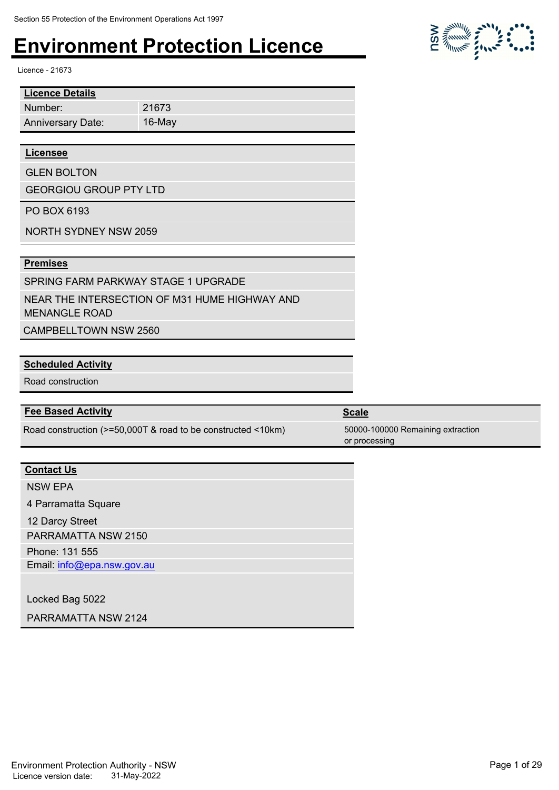Licence - 21673

| <b>Licence Details</b>   |        |
|--------------------------|--------|
| Number:                  | 21673  |
| <b>Anniversary Date:</b> | 16-May |
|                          |        |
| <b>Licensee</b>          |        |

GLEN BOLTON

GEORGIOU GROUP PTY LTD

PO BOX 6193

NORTH SYDNEY NSW 2059

#### **Premises**

SPRING FARM PARKWAY STAGE 1 UPGRADE

NEAR THE INTERSECTION OF M31 HUME HIGHWAY AND MENANGLE ROAD

CAMPBELLTOWN NSW 2560

#### **Scheduled Activity**

Road construction

#### **Fee Based Activity Scale**

Road construction (>=50,000T & road to be constructed <10km) 50000-100000 Remaining extraction

### **Contact Us**

NSW EPA 4 Parramatta Square

12 Darcy Street

PARRAMATTA NSW 2150

Phone: 131 555

Email: info@epa.nsw.gov.au

Locked Bag 5022

PARRAMATTA NSW 2124

Environment Protection Authority - NSW Page 1 of 29 Licence version date: 31-May-2022



or processing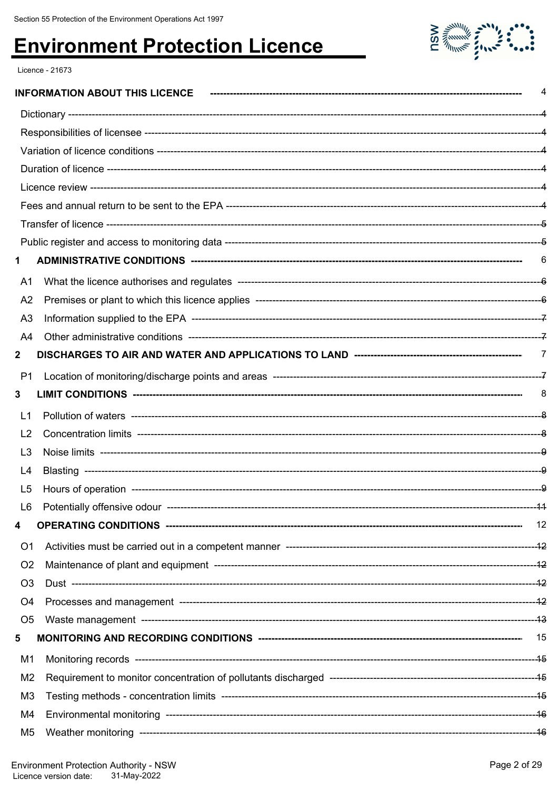

Licence - 21673

|                |                                       | 4    |
|----------------|---------------------------------------|------|
|                |                                       |      |
|                |                                       |      |
|                |                                       |      |
|                |                                       |      |
|                |                                       |      |
|                |                                       |      |
|                |                                       |      |
|                |                                       |      |
| 1              |                                       |      |
| A1             |                                       |      |
| A <sub>2</sub> |                                       |      |
| A <sub>3</sub> |                                       |      |
| A4             |                                       |      |
| $\mathbf{2}$   |                                       |      |
| P1             |                                       |      |
| 3              |                                       | -8   |
| L1             |                                       |      |
| L <sub>2</sub> |                                       |      |
| L <sub>3</sub> |                                       |      |
| L4             |                                       |      |
| L <sub>5</sub> |                                       |      |
| L6             | Potentially offensive odour --------- | -4-4 |
| 4              |                                       |      |
| O <sub>1</sub> |                                       |      |
| O <sub>2</sub> |                                       |      |
| O <sub>3</sub> |                                       |      |
| O4             |                                       |      |
| O <sub>5</sub> |                                       |      |
| 5              |                                       |      |
| M1             |                                       |      |
| M <sub>2</sub> |                                       |      |
| M <sub>3</sub> |                                       |      |
| M4             |                                       |      |
| M <sub>5</sub> |                                       |      |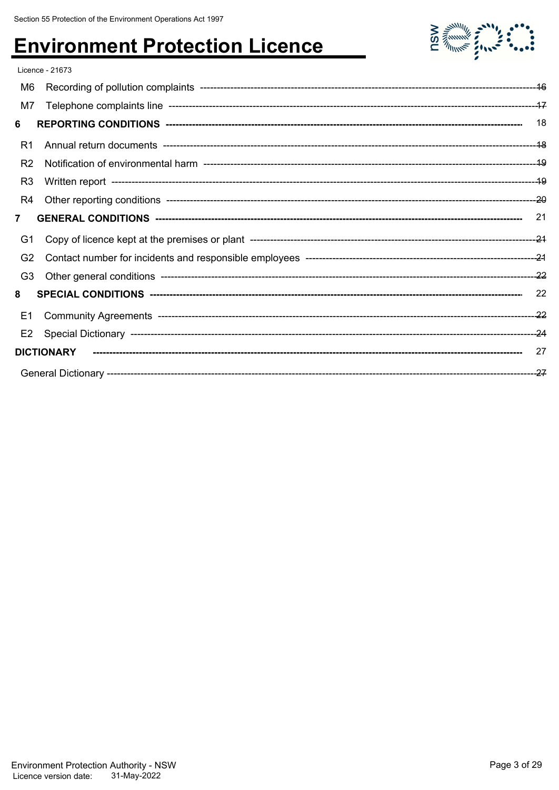

|                | Licence - 21673   |     |
|----------------|-------------------|-----|
| M6             |                   |     |
| M7             |                   |     |
| 6              |                   | 18  |
| R1             |                   |     |
| R <sub>2</sub> |                   |     |
| R <sub>3</sub> |                   |     |
| R4             |                   |     |
| $\overline{7}$ |                   | -21 |
| G1             |                   |     |
| G <sub>2</sub> |                   |     |
| G <sub>3</sub> |                   |     |
| 8              |                   | 22  |
| E1             |                   |     |
| E <sub>2</sub> |                   |     |
|                |                   |     |
|                | <b>DICTIONARY</b> | 27  |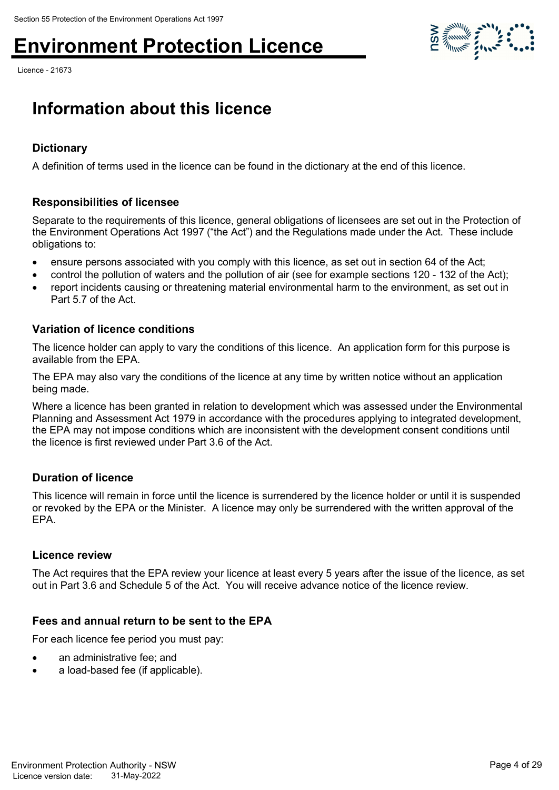Licence - 21673



### **Information about this licence**

### **Dictionary**

A definition of terms used in the licence can be found in the dictionary at the end of this licence.

#### **Responsibilities of licensee**

Separate to the requirements of this licence, general obligations of licensees are set out in the Protection of the Environment Operations Act 1997 ("the Act") and the Regulations made under the Act. These include obligations to:

- ensure persons associated with you comply with this licence, as set out in section 64 of the Act;
- control the pollution of waters and the pollution of air (see for example sections 120 132 of the Act);
- report incidents causing or threatening material environmental harm to the environment, as set out in Part 5.7 of the Act.

#### **Variation of licence conditions**

The licence holder can apply to vary the conditions of this licence. An application form for this purpose is available from the EPA.

The EPA may also vary the conditions of the licence at any time by written notice without an application being made.

Where a licence has been granted in relation to development which was assessed under the Environmental Planning and Assessment Act 1979 in accordance with the procedures applying to integrated development, the EPA may not impose conditions which are inconsistent with the development consent conditions until the licence is first reviewed under Part 3.6 of the Act.

#### **Duration of licence**

This licence will remain in force until the licence is surrendered by the licence holder or until it is suspended or revoked by the EPA or the Minister. A licence may only be surrendered with the written approval of the EPA.

#### **Licence review**

The Act requires that the EPA review your licence at least every 5 years after the issue of the licence, as set out in Part 3.6 and Schedule 5 of the Act. You will receive advance notice of the licence review.

#### **Fees and annual return to be sent to the EPA**

For each licence fee period you must pay:

- an administrative fee; and
- a load-based fee (if applicable).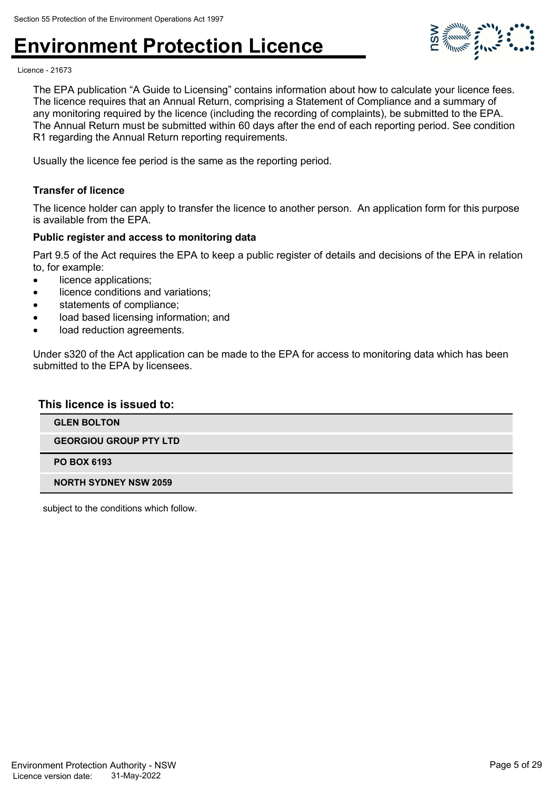

Licence - 21673

The EPA publication "A Guide to Licensing" contains information about how to calculate your licence fees. The licence requires that an Annual Return, comprising a Statement of Compliance and a summary of any monitoring required by the licence (including the recording of complaints), be submitted to the EPA. The Annual Return must be submitted within 60 days after the end of each reporting period. See condition R1 regarding the Annual Return reporting requirements.

Usually the licence fee period is the same as the reporting period.

#### **Transfer of licence**

The licence holder can apply to transfer the licence to another person. An application form for this purpose is available from the EPA.

#### **Public register and access to monitoring data**

Part 9.5 of the Act requires the EPA to keep a public register of details and decisions of the EPA in relation to, for example:

- licence applications:
- licence conditions and variations;
- statements of compliance;
- load based licensing information; and
- load reduction agreements.

Under s320 of the Act application can be made to the EPA for access to monitoring data which has been submitted to the EPA by licensees.

#### **This licence is issued to:**

| <b>GLEN BOLTON</b>            |
|-------------------------------|
| <b>GEORGIOU GROUP PTY LTD</b> |
| <b>PO BOX 6193</b>            |
| <b>NORTH SYDNEY NSW 2059</b>  |

subject to the conditions which follow.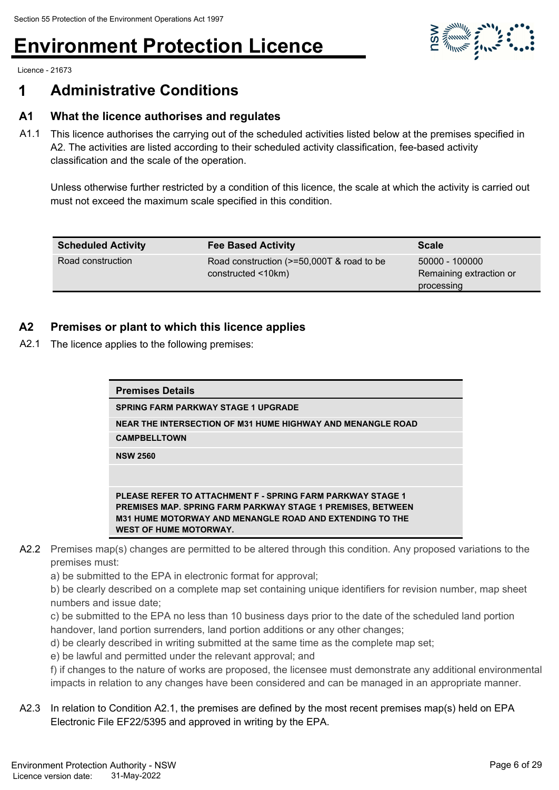

Licence - 21673

### **1 Administrative Conditions**

### **A1 What the licence authorises and regulates**

A1.1 This licence authorises the carrying out of the scheduled activities listed below at the premises specified in A2. The activities are listed according to their scheduled activity classification, fee-based activity classification and the scale of the operation.

Unless otherwise further restricted by a condition of this licence, the scale at which the activity is carried out must not exceed the maximum scale specified in this condition.

| <b>Scheduled Activity</b> | <b>Fee Based Activity</b>                                           | <b>Scale</b>                                            |
|---------------------------|---------------------------------------------------------------------|---------------------------------------------------------|
| Road construction         | Road construction (>=50,000T & road to be<br>$constructed < 10km$ ) | 50000 - 100000<br>Remaining extraction or<br>processing |

### **A2 Premises or plant to which this licence applies**

A2.1 The licence applies to the following premises:

| <b>Premises Details</b>                                                                                                                                                                                                                     |  |
|---------------------------------------------------------------------------------------------------------------------------------------------------------------------------------------------------------------------------------------------|--|
| <b>SPRING FARM PARKWAY STAGE 1 UPGRADE</b>                                                                                                                                                                                                  |  |
| NEAR THE INTERSECTION OF M31 HUME HIGHWAY AND MENANGLE ROAD                                                                                                                                                                                 |  |
| <b>CAMPBELLTOWN</b>                                                                                                                                                                                                                         |  |
| <b>NSW 2560</b>                                                                                                                                                                                                                             |  |
|                                                                                                                                                                                                                                             |  |
| <b>PLEASE REFER TO ATTACHMENT F - SPRING FARM PARKWAY STAGE 1</b><br><b>PREMISES MAP. SPRING FARM PARKWAY STAGE 1 PREMISES, BETWEEN</b><br><b>M31 HUME MOTORWAY AND MENANGLE ROAD AND EXTENDING TO THE</b><br><b>WEST OF HUME MOTORWAY.</b> |  |

- A2.2 Premises map(s) changes are permitted to be altered through this condition. Any proposed variations to the premises must:
	- a) be submitted to the EPA in electronic format for approval;

b) be clearly described on a complete map set containing unique identifiers for revision number, map sheet numbers and issue date;

- c) be submitted to the EPA no less than 10 business days prior to the date of the scheduled land portion handover, land portion surrenders, land portion additions or any other changes;
- d) be clearly described in writing submitted at the same time as the complete map set;
- e) be lawful and permitted under the relevant approval; and

f) if changes to the nature of works are proposed, the licensee must demonstrate any additional environmental impacts in relation to any changes have been considered and can be managed in an appropriate manner.

A2.3 In relation to Condition A2.1, the premises are defined by the most recent premises map(s) held on EPA Electronic File EF22/5395 and approved in writing by the EPA.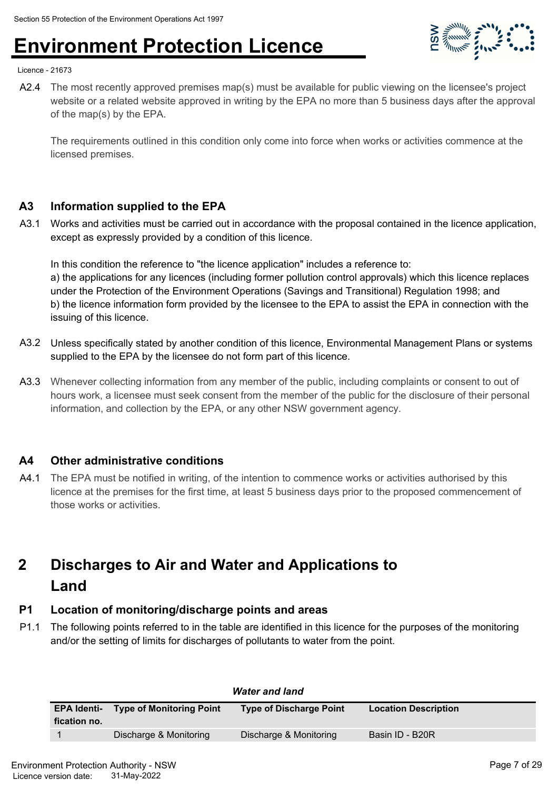

Licence - 21673

A2.4 The most recently approved premises map(s) must be available for public viewing on the licensee's project website or a related website approved in writing by the EPA no more than 5 business days after the approval of the map(s) by the EPA.

The requirements outlined in this condition only come into force when works or activities commence at the licensed premises.

### **A3 Information supplied to the EPA**

A3.1 Works and activities must be carried out in accordance with the proposal contained in the licence application, except as expressly provided by a condition of this licence.

In this condition the reference to "the licence application" includes a reference to: a) the applications for any licences (including former pollution control approvals) which this licence replaces under the Protection of the Environment Operations (Savings and Transitional) Regulation 1998; and b) the licence information form provided by the licensee to the EPA to assist the EPA in connection with the issuing of this licence.

- A3.2 Unless specifically stated by another condition of this licence, Environmental Management Plans or systems supplied to the EPA by the licensee do not form part of this licence.
- A3.3 Whenever collecting information from any member of the public, including complaints or consent to out of hours work, a licensee must seek consent from the member of the public for the disclosure of their personal information, and collection by the EPA, or any other NSW government agency.

### **A4 Other administrative conditions**

A4.1 The EPA must be notified in writing, of the intention to commence works or activities authorised by this licence at the premises for the first time, at least 5 business days prior to the proposed commencement of those works or activities.

### **Discharges to Air and Water and Applications to Land 2**

### **P1 Location of monitoring/discharge points and areas**

P1.1 The following points referred to in the table are identified in this licence for the purposes of the monitoring and/or the setting of limits for discharges of pollutants to water from the point.

| <b>Water and land</b> |                                             |                                |                             |
|-----------------------|---------------------------------------------|--------------------------------|-----------------------------|
| fication no.          | <b>EPA Identi- Type of Monitoring Point</b> | <b>Type of Discharge Point</b> | <b>Location Description</b> |
|                       | Discharge & Monitoring                      | Discharge & Monitoring         | Basin ID - B20R             |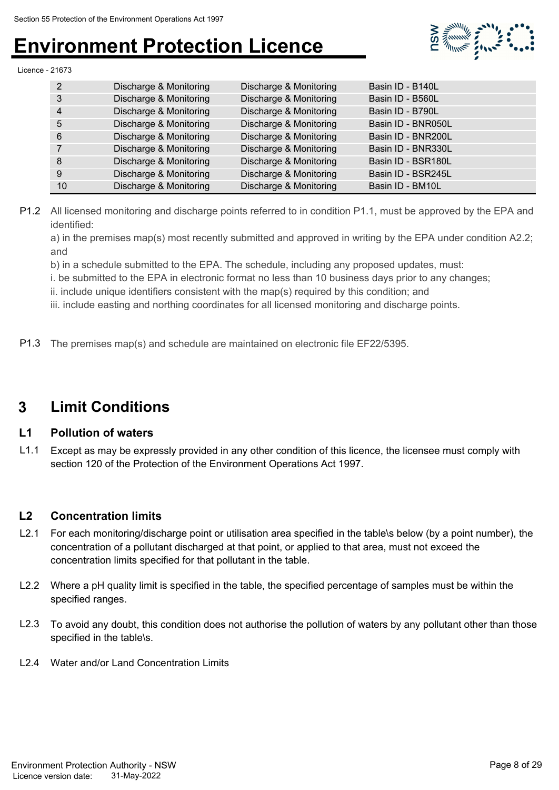

Licence - 21673

| 2  | Discharge & Monitoring | Discharge & Monitoring | Basin ID - B140L   |
|----|------------------------|------------------------|--------------------|
| 3  | Discharge & Monitoring | Discharge & Monitoring | Basin ID - B560L   |
| 4  | Discharge & Monitoring | Discharge & Monitoring | Basin ID - B790L   |
| 5  | Discharge & Monitoring | Discharge & Monitoring | Basin ID - BNR050L |
| 6  | Discharge & Monitoring | Discharge & Monitoring | Basin ID - BNR200L |
|    | Discharge & Monitoring | Discharge & Monitoring | Basin ID - BNR330L |
| 8  | Discharge & Monitoring | Discharge & Monitoring | Basin ID - BSR180L |
| 9  | Discharge & Monitoring | Discharge & Monitoring | Basin ID - BSR245L |
| 10 | Discharge & Monitoring | Discharge & Monitoring | Basin ID - BM10L   |

P1.2 All licensed monitoring and discharge points referred to in condition P1.1, must be approved by the EPA and identified:

a) in the premises map(s) most recently submitted and approved in writing by the EPA under condition A2.2; and

b) in a schedule submitted to the EPA. The schedule, including any proposed updates, must:

i. be submitted to the EPA in electronic format no less than 10 business days prior to any changes;

ii. include unique identifiers consistent with the map(s) required by this condition; and

iii. include easting and northing coordinates for all licensed monitoring and discharge points.

P1.3 The premises map(s) and schedule are maintained on electronic file EF22/5395.

### **3 Limit Conditions**

### **L1 Pollution of waters**

L1.1 Except as may be expressly provided in any other condition of this licence, the licensee must comply with section 120 of the Protection of the Environment Operations Act 1997.

### **L2 Concentration limits**

- L2.1 For each monitoring/discharge point or utilisation area specified in the table\s below (by a point number), the concentration of a pollutant discharged at that point, or applied to that area, must not exceed the concentration limits specified for that pollutant in the table.
- L2.2 Where a pH quality limit is specified in the table, the specified percentage of samples must be within the specified ranges.
- L2.3 To avoid any doubt, this condition does not authorise the pollution of waters by any pollutant other than those specified in the table\s.
- L2.4 Water and/or Land Concentration Limits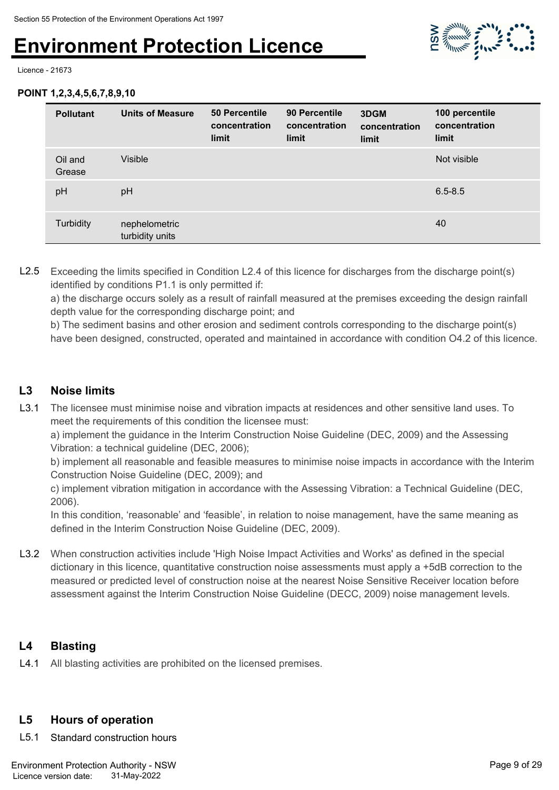

Licence - 21673

#### **POINT 1,2,3,4,5,6,7,8,9,10**

| <b>Pollutant</b>  | <b>Units of Measure</b>          | 50 Percentile<br>concentration<br>limit | 90 Percentile<br>concentration<br>limit | 3DGM<br>concentration<br>limit | 100 percentile<br>concentration<br>limit |
|-------------------|----------------------------------|-----------------------------------------|-----------------------------------------|--------------------------------|------------------------------------------|
| Oil and<br>Grease | <b>Visible</b>                   |                                         |                                         |                                | Not visible                              |
| pH                | pH                               |                                         |                                         |                                | $6.5 - 8.5$                              |
| Turbidity         | nephelometric<br>turbidity units |                                         |                                         |                                | 40                                       |

L2.5 Exceeding the limits specified in Condition L2.4 of this licence for discharges from the discharge point(s) identified by conditions P1.1 is only permitted if:

a) the discharge occurs solely as a result of rainfall measured at the premises exceeding the design rainfall depth value for the corresponding discharge point; and

b) The sediment basins and other erosion and sediment controls corresponding to the discharge point(s) have been designed, constructed, operated and maintained in accordance with condition O4.2 of this licence.

### **L3 Noise limits**

L3.1 The licensee must minimise noise and vibration impacts at residences and other sensitive land uses. To meet the requirements of this condition the licensee must:

a) implement the guidance in the Interim Construction Noise Guideline (DEC, 2009) and the Assessing Vibration: a technical guideline (DEC, 2006);

b) implement all reasonable and feasible measures to minimise noise impacts in accordance with the Interim Construction Noise Guideline (DEC, 2009); and

c) implement vibration mitigation in accordance with the Assessing Vibration: a Technical Guideline (DEC, 2006).

In this condition, 'reasonable' and 'feasible', in relation to noise management, have the same meaning as defined in the Interim Construction Noise Guideline (DEC, 2009).

L3.2 When construction activities include 'High Noise Impact Activities and Works' as defined in the special dictionary in this licence, quantitative construction noise assessments must apply a +5dB correction to the measured or predicted level of construction noise at the nearest Noise Sensitive Receiver location before assessment against the Interim Construction Noise Guideline (DECC, 2009) noise management levels.

### **L4 Blasting**

L4.1 All blasting activities are prohibited on the licensed premises.

### **L5 Hours of operation**

L5.1 Standard construction hours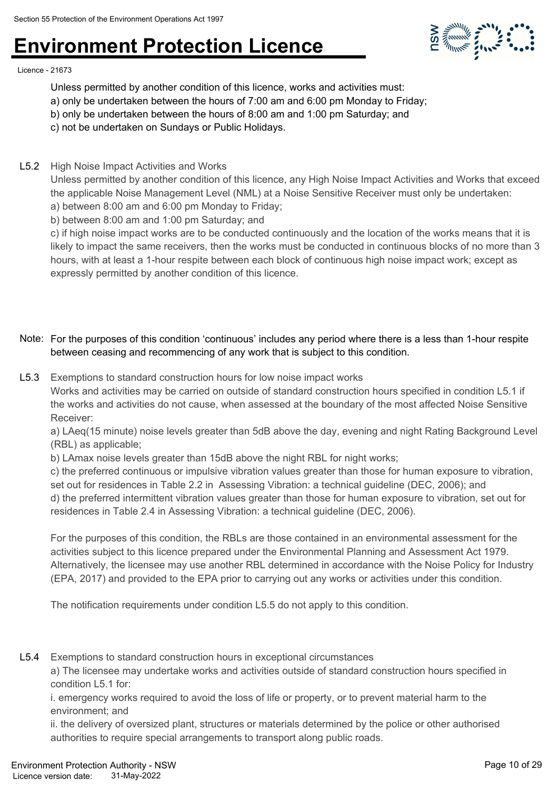

Licence - 21673

Unless permitted by another condition of this licence, works and activities must:

- a) only be undertaken between the hours of 7:00 am and 6:00 pm Monday to Friday;
- b) only be undertaken between the hours of 8:00 am and 1:00 pm Saturday; and
- c) not be undertaken on Sundays or Public Holidays.
- L5.2 High Noise Impact Activities and Works

Unless permitted by another condition of this licence, any High Noise Impact Activities and Works that exceed the applicable Noise Management Level (NML) at a Noise Sensitive Receiver must only be undertaken: a) between 8:00 am and 6:00 pm Monday to Friday;

b) between 8:00 am and 1:00 pm Saturday; and

c) if high noise impact works are to be conducted continuously and the location of the works means that it is likely to impact the same receivers, then the works must be conducted in continuous blocks of no more than 3 hours, with at least a 1-hour respite between each block of continuous high noise impact work; except as expressly permitted by another condition of this licence.

### Note: For the purposes of this condition 'continuous' includes any period where there is a less than 1-hour respite between ceasing and recommencing of any work that is subject to this condition.

L5.3 Exemptions to standard construction hours for low noise impact works

Works and activities may be carried on outside of standard construction hours specified in condition L5.1 if the works and activities do not cause, when assessed at the boundary of the most affected Noise Sensitive Receiver:

a) LAeg(15 minute) noise levels greater than 5dB above the day, evening and night Rating Background Level (RBL) as applicable;

b) LAmax noise levels greater than 15dB above the night RBL for night works;

c) the preferred continuous or impulsive vibration values greater than those for human exposure to vibration, set out for residences in Table 2.2 in Assessing Vibration: a technical guideline (DEC, 2006); and d) the preferred intermittent vibration values greater than those for human exposure to vibration, set out for residences in Table 2.4 in Assessing Vibration: a technical guideline (DEC, 2006).

For the purposes of this condition, the RBLs are those contained in an environmental assessment for the activities subject to this licence prepared under the Environmental Planning and Assessment Act 1979. Alternatively, the licensee may use another RBL determined in accordance with the Noise Policy for Industry (EPA, 2017) and provided to the EPA prior to carrying out any works or activities under this condition.

The notification requirements under condition L5.5 do not apply to this condition.

L5.4 Exemptions to standard construction hours in exceptional circumstances

a) The licensee may undertake works and activities outside of standard construction hours specified in condition L5.1 for:

i. emergency works required to avoid the loss of life or property, or to prevent material harm to the environment; and

ii. the delivery of oversized plant, structures or materials determined by the police or other authorised authorities to require special arrangements to transport along public roads.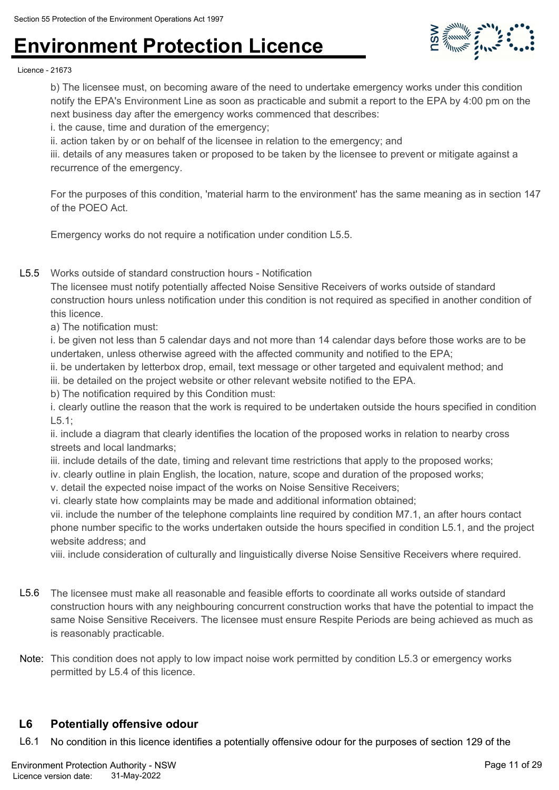

Licence - 21673

b) The licensee must, on becoming aware of the need to undertake emergency works under this condition notify the EPA's Environment Line as soon as practicable and submit a report to the EPA by 4:00 pm on the next business day after the emergency works commenced that describes:

i. the cause, time and duration of the emergency;

ii. action taken by or on behalf of the licensee in relation to the emergency; and

iii. details of any measures taken or proposed to be taken by the licensee to prevent or mitigate against a recurrence of the emergency.

For the purposes of this condition, 'material harm to the environment' has the same meaning as in section 147 of the POEO Act.

Emergency works do not require a notification under condition L5.5.

L5.5 Works outside of standard construction hours - Notification

The licensee must notify potentially affected Noise Sensitive Receivers of works outside of standard construction hours unless notification under this condition is not required as specified in another condition of this licence.

a) The notification must:

i. be given not less than 5 calendar days and not more than 14 calendar days before those works are to be undertaken, unless otherwise agreed with the affected community and notified to the EPA;

ii. be undertaken by letterbox drop, email, text message or other targeted and equivalent method; and

iii. be detailed on the project website or other relevant website notified to the EPA.

b) The notification required by this Condition must:

i. clearly outline the reason that the work is required to be undertaken outside the hours specified in condition L5.1;

ii. include a diagram that clearly identifies the location of the proposed works in relation to nearby cross streets and local landmarks;

iii. include details of the date, timing and relevant time restrictions that apply to the proposed works;

iv. clearly outline in plain English, the location, nature, scope and duration of the proposed works;

v. detail the expected noise impact of the works on Noise Sensitive Receivers;

vi. clearly state how complaints may be made and additional information obtained;

vii. include the number of the telephone complaints line required by condition M7.1, an after hours contact phone number specific to the works undertaken outside the hours specified in condition L5.1, and the project website address; and

viii. include consideration of culturally and linguistically diverse Noise Sensitive Receivers where required.

- L5.6 The licensee must make all reasonable and feasible efforts to coordinate all works outside of standard construction hours with any neighbouring concurrent construction works that have the potential to impact the same Noise Sensitive Receivers. The licensee must ensure Respite Periods are being achieved as much as is reasonably practicable.
- Note: This condition does not apply to low impact noise work permitted by condition L5.3 or emergency works permitted by L5.4 of this licence.

### **L6 Potentially offensive odour**

L6.1 No condition in this licence identifies a potentially offensive odour for the purposes of section 129 of the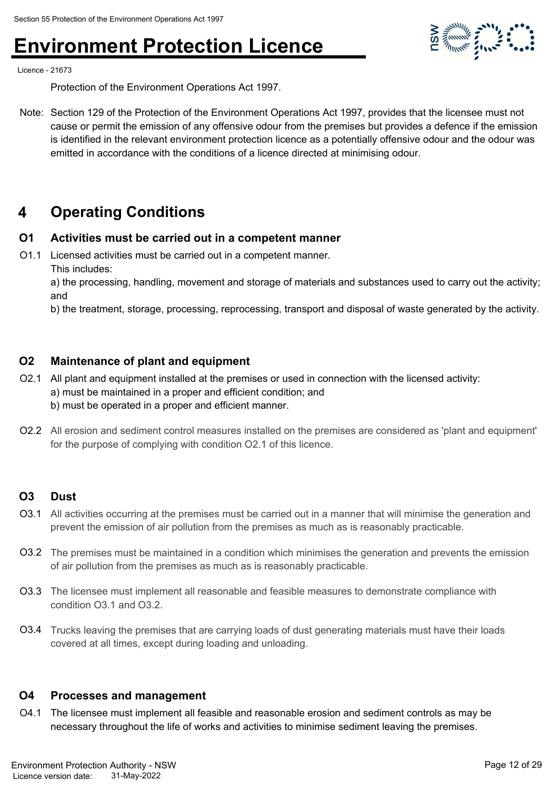

Licence - 21673

Protection of the Environment Operations Act 1997.

Note: Section 129 of the Protection of the Environment Operations Act 1997, provides that the licensee must not cause or permit the emission of any offensive odour from the premises but provides a defence if the emission is identified in the relevant environment protection licence as a potentially offensive odour and the odour was emitted in accordance with the conditions of a licence directed at minimising odour.

### **4 Operating Conditions**

### **O1 Activities must be carried out in a competent manner**

O1.1 Licensed activities must be carried out in a competent manner. This includes:

a) the processing, handling, movement and storage of materials and substances used to carry out the activity; and

b) the treatment, storage, processing, reprocessing, transport and disposal of waste generated by the activity.

#### **O2 Maintenance of plant and equipment**

- O2.1 All plant and equipment installed at the premises or used in connection with the licensed activity: a) must be maintained in a proper and efficient condition; and b) must be operated in a proper and efficient manner.
- O2.2 All erosion and sediment control measures installed on the premises are considered as 'plant and equipment' for the purpose of complying with condition O2.1 of this licence.

#### **O3 Dust**

- O3.1 All activities occurring at the premises must be carried out in a manner that will minimise the generation and prevent the emission of air pollution from the premises as much as is reasonably practicable.
- O3.2 The premises must be maintained in a condition which minimises the generation and prevents the emission of air pollution from the premises as much as is reasonably practicable.
- O3.3 The licensee must implement all reasonable and feasible measures to demonstrate compliance with condition O3.1 and O3.2.
- O3.4 Trucks leaving the premises that are carrying loads of dust generating materials must have their loads covered at all times, except during loading and unloading.

#### **O4 Processes and management**

O4.1 The licensee must implement all feasible and reasonable erosion and sediment controls as may be necessary throughout the life of works and activities to minimise sediment leaving the premises.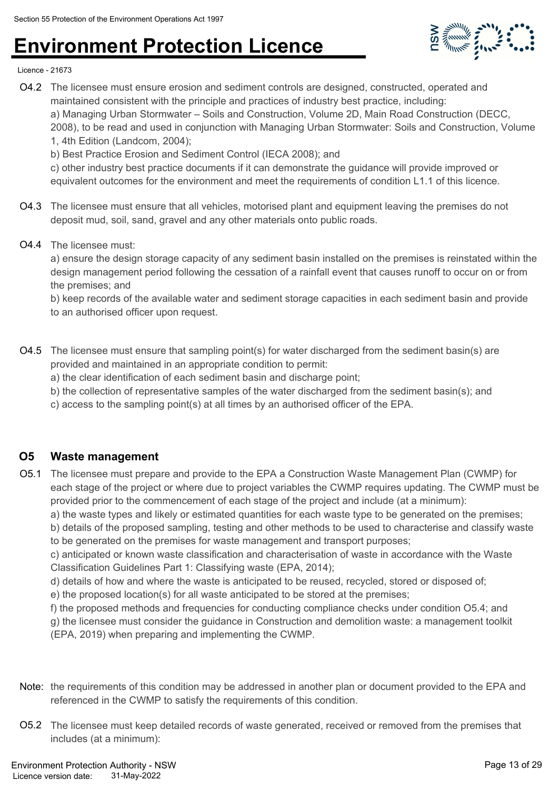

Licence - 21673

- O4.2 The licensee must ensure erosion and sediment controls are designed, constructed, operated and maintained consistent with the principle and practices of industry best practice, including: a) Managing Urban Stormwater – Soils and Construction, Volume 2D, Main Road Construction (DECC, 2008), to be read and used in conjunction with Managing Urban Stormwater: Soils and Construction, Volume 1, 4th Edition (Landcom, 2004);
	- b) Best Practice Erosion and Sediment Control (IECA 2008); and

c) other industry best practice documents if it can demonstrate the guidance will provide improved or equivalent outcomes for the environment and meet the requirements of condition L1.1 of this licence.

- O4.3 The licensee must ensure that all vehicles, motorised plant and equipment leaving the premises do not deposit mud, soil, sand, gravel and any other materials onto public roads.
- O4.4 The licensee must:

a) ensure the design storage capacity of any sediment basin installed on the premises is reinstated within the design management period following the cessation of a rainfall event that causes runoff to occur on or from the premises; and

b) keep records of the available water and sediment storage capacities in each sediment basin and provide to an authorised officer upon request.

- O4.5 The licensee must ensure that sampling point(s) for water discharged from the sediment basin(s) are provided and maintained in an appropriate condition to permit:
	- a) the clear identification of each sediment basin and discharge point;
	- b) the collection of representative samples of the water discharged from the sediment basin(s); and
	- c) access to the sampling point(s) at all times by an authorised officer of the EPA.

### **O5 Waste management**

O5.1 The licensee must prepare and provide to the EPA a Construction Waste Management Plan (CWMP) for each stage of the project or where due to project variables the CWMP requires updating. The CWMP must be provided prior to the commencement of each stage of the project and include (at a minimum):

a) the waste types and likely or estimated quantities for each waste type to be generated on the premises;

b) details of the proposed sampling, testing and other methods to be used to characterise and classify waste to be generated on the premises for waste management and transport purposes;

c) anticipated or known waste classification and characterisation of waste in accordance with the Waste Classification Guidelines Part 1: Classifying waste (EPA, 2014);

- d) details of how and where the waste is anticipated to be reused, recycled, stored or disposed of;
- e) the proposed location(s) for all waste anticipated to be stored at the premises;
- f) the proposed methods and frequencies for conducting compliance checks under condition O5.4; and

g) the licensee must consider the guidance in Construction and demolition waste: a management toolkit (EPA, 2019) when preparing and implementing the CWMP.

- Note: the requirements of this condition may be addressed in another plan or document provided to the EPA and referenced in the CWMP to satisfy the requirements of this condition.
- O5.2 The licensee must keep detailed records of waste generated, received or removed from the premises that includes (at a minimum):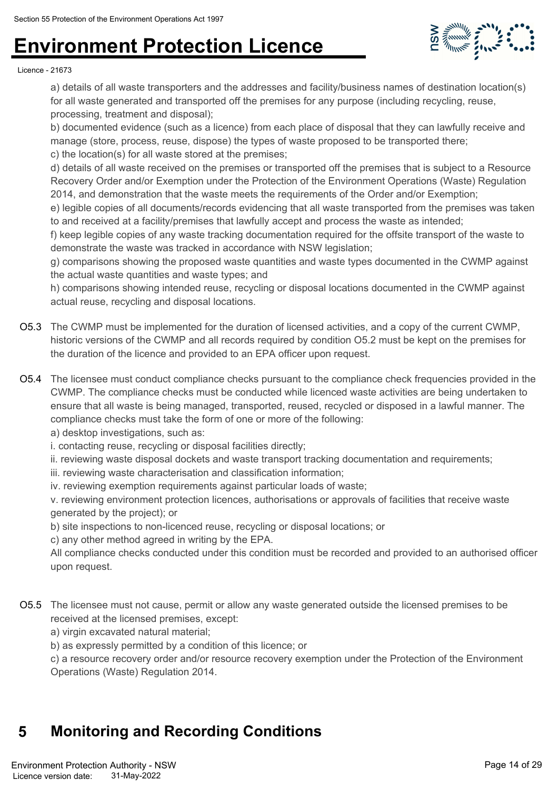

#### Licence - 21673

a) details of all waste transporters and the addresses and facility/business names of destination location(s) for all waste generated and transported off the premises for any purpose (including recycling, reuse, processing, treatment and disposal);

b) documented evidence (such as a licence) from each place of disposal that they can lawfully receive and manage (store, process, reuse, dispose) the types of waste proposed to be transported there;

c) the location(s) for all waste stored at the premises;

d) details of all waste received on the premises or transported off the premises that is subject to a Resource Recovery Order and/or Exemption under the Protection of the Environment Operations (Waste) Regulation 2014, and demonstration that the waste meets the requirements of the Order and/or Exemption;

e) legible copies of all documents/records evidencing that all waste transported from the premises was taken to and received at a facility/premises that lawfully accept and process the waste as intended;

f) keep legible copies of any waste tracking documentation required for the offsite transport of the waste to demonstrate the waste was tracked in accordance with NSW legislation;

g) comparisons showing the proposed waste quantities and waste types documented in the CWMP against the actual waste quantities and waste types; and

h) comparisons showing intended reuse, recycling or disposal locations documented in the CWMP against actual reuse, recycling and disposal locations.

- O5.3 The CWMP must be implemented for the duration of licensed activities, and a copy of the current CWMP, historic versions of the CWMP and all records required by condition O5.2 must be kept on the premises for the duration of the licence and provided to an EPA officer upon request.
- O5.4 The licensee must conduct compliance checks pursuant to the compliance check frequencies provided in the CWMP. The compliance checks must be conducted while licenced waste activities are being undertaken to ensure that all waste is being managed, transported, reused, recycled or disposed in a lawful manner. The compliance checks must take the form of one or more of the following:

a) desktop investigations, such as:

i. contacting reuse, recycling or disposal facilities directly;

ii. reviewing waste disposal dockets and waste transport tracking documentation and requirements;

iii. reviewing waste characterisation and classification information;

iv. reviewing exemption requirements against particular loads of waste;

v. reviewing environment protection licences, authorisations or approvals of facilities that receive waste generated by the project); or

b) site inspections to non-licenced reuse, recycling or disposal locations; or

c) any other method agreed in writing by the EPA.

All compliance checks conducted under this condition must be recorded and provided to an authorised officer upon request.

- O5.5 The licensee must not cause, permit or allow any waste generated outside the licensed premises to be received at the licensed premises, except:
	- a) virgin excavated natural material;
	- b) as expressly permitted by a condition of this licence; or

c) a resource recovery order and/or resource recovery exemption under the Protection of the Environment Operations (Waste) Regulation 2014.

### **5 Monitoring and Recording Conditions**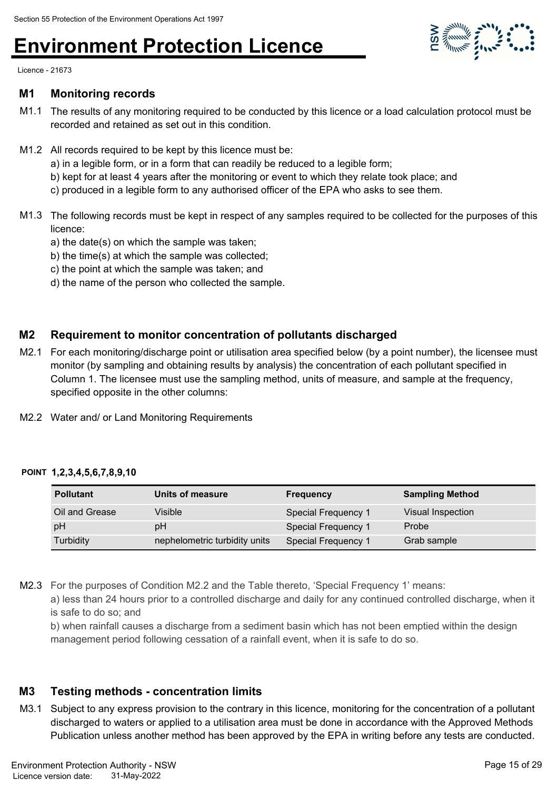

Licence - 21673

#### **M1 Monitoring records**

- M1.1 The results of any monitoring required to be conducted by this licence or a load calculation protocol must be recorded and retained as set out in this condition.
- M1.2 All records required to be kept by this licence must be:
	- a) in a legible form, or in a form that can readily be reduced to a legible form;
	- b) kept for at least 4 years after the monitoring or event to which they relate took place; and
	- c) produced in a legible form to any authorised officer of the EPA who asks to see them.
- M1.3 The following records must be kept in respect of any samples required to be collected for the purposes of this licence:
	- a) the date(s) on which the sample was taken;
	- b) the time(s) at which the sample was collected;
	- c) the point at which the sample was taken; and
	- d) the name of the person who collected the sample.

### **M2 Requirement to monitor concentration of pollutants discharged**

- M2.1 For each monitoring/discharge point or utilisation area specified below (by a point number), the licensee must monitor (by sampling and obtaining results by analysis) the concentration of each pollutant specified in Column 1. The licensee must use the sampling method, units of measure, and sample at the frequency, specified opposite in the other columns:
- M2.2 Water and/ or Land Monitoring Requirements

#### **POINT 1,2,3,4,5,6,7,8,9,10**

| <b>Pollutant</b> | Units of measure              | <b>Frequency</b>    | <b>Sampling Method</b> |
|------------------|-------------------------------|---------------------|------------------------|
| Oil and Grease   | Visible                       | Special Frequency 1 | Visual Inspection      |
| pH               | pН                            | Special Frequency 1 | Probe                  |
| Turbidity        | nephelometric turbidity units | Special Frequency 1 | Grab sample            |

M2.3 For the purposes of Condition M2.2 and the Table thereto, 'Special Frequency 1' means:

a) less than 24 hours prior to a controlled discharge and daily for any continued controlled discharge, when it is safe to do so; and

b) when rainfall causes a discharge from a sediment basin which has not been emptied within the design management period following cessation of a rainfall event, when it is safe to do so.

### **M3 Testing methods - concentration limits**

M3.1 Subject to any express provision to the contrary in this licence, monitoring for the concentration of a pollutant discharged to waters or applied to a utilisation area must be done in accordance with the Approved Methods Publication unless another method has been approved by the EPA in writing before any tests are conducted.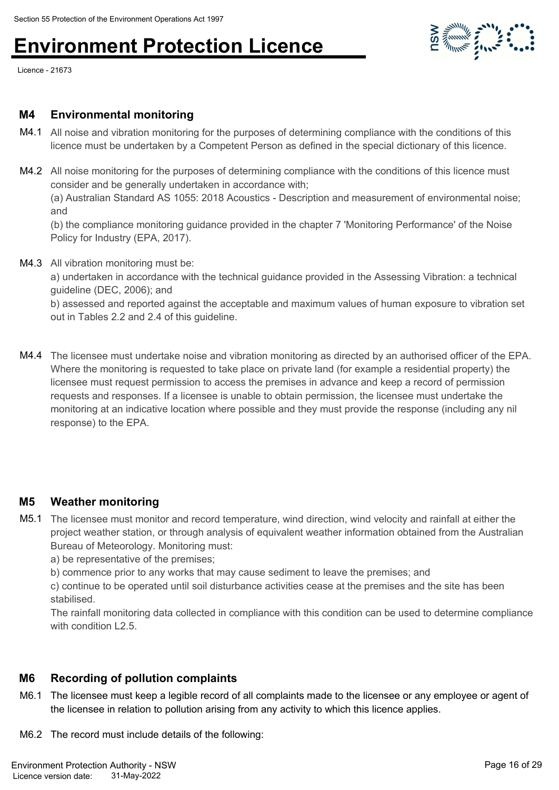Licence - 21673

### **M4 Environmental monitoring**

- M4.1 All noise and vibration monitoring for the purposes of determining compliance with the conditions of this licence must be undertaken by a Competent Person as defined in the special dictionary of this licence.
- M4.2 All noise monitoring for the purposes of determining compliance with the conditions of this licence must consider and be generally undertaken in accordance with; (a) Australian Standard AS 1055: 2018 Acoustics - Description and measurement of environmental noise; and

(b) the compliance monitoring guidance provided in the chapter 7 'Monitoring Performance' of the Noise Policy for Industry (EPA, 2017).

M4.3 All vibration monitoring must be:

a) undertaken in accordance with the technical guidance provided in the Assessing Vibration: a technical guideline (DEC, 2006); and

b) assessed and reported against the acceptable and maximum values of human exposure to vibration set out in Tables 2.2 and 2.4 of this guideline.

M4.4 The licensee must undertake noise and vibration monitoring as directed by an authorised officer of the EPA. Where the monitoring is requested to take place on private land (for example a residential property) the licensee must request permission to access the premises in advance and keep a record of permission requests and responses. If a licensee is unable to obtain permission, the licensee must undertake the monitoring at an indicative location where possible and they must provide the response (including any nil response) to the EPA.

### **M5 Weather monitoring**

M5.1 The licensee must monitor and record temperature, wind direction, wind velocity and rainfall at either the project weather station, or through analysis of equivalent weather information obtained from the Australian Bureau of Meteorology. Monitoring must:

a) be representative of the premises;

b) commence prior to any works that may cause sediment to leave the premises; and

c) continue to be operated until soil disturbance activities cease at the premises and the site has been stabilised.

The rainfall monitoring data collected in compliance with this condition can be used to determine compliance with condition L<sub>2</sub>.5.

### **M6 Recording of pollution complaints**

M6.1 The licensee must keep a legible record of all complaints made to the licensee or any employee or agent of the licensee in relation to pollution arising from any activity to which this licence applies.

M6.2 The record must include details of the following: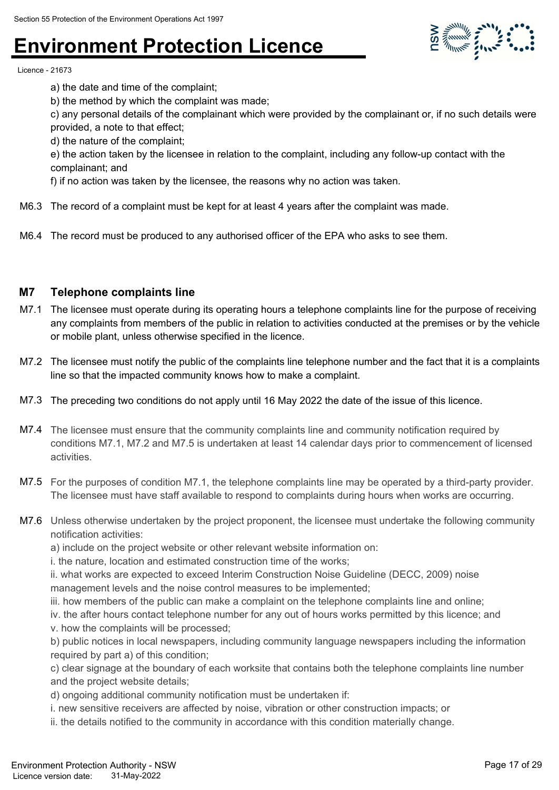

Licence - 21673

a) the date and time of the complaint;

b) the method by which the complaint was made;

c) any personal details of the complainant which were provided by the complainant or, if no such details were provided, a note to that effect;

d) the nature of the complaint;

e) the action taken by the licensee in relation to the complaint, including any follow-up contact with the complainant; and

f) if no action was taken by the licensee, the reasons why no action was taken.

- M6.3 The record of a complaint must be kept for at least 4 years after the complaint was made.
- M6.4 The record must be produced to any authorised officer of the EPA who asks to see them.

#### **M7 Telephone complaints line**

- M7.1 The licensee must operate during its operating hours a telephone complaints line for the purpose of receiving any complaints from members of the public in relation to activities conducted at the premises or by the vehicle or mobile plant, unless otherwise specified in the licence.
- M7.2 The licensee must notify the public of the complaints line telephone number and the fact that it is a complaints line so that the impacted community knows how to make a complaint.
- M7.3 The preceding two conditions do not apply until 16 May 2022 the date of the issue of this licence.
- M7.4 The licensee must ensure that the community complaints line and community notification required by conditions M7.1, M7.2 and M7.5 is undertaken at least 14 calendar days prior to commencement of licensed activities.
- M7.5 For the purposes of condition M7.1, the telephone complaints line may be operated by a third-party provider. The licensee must have staff available to respond to complaints during hours when works are occurring.
- M7.6 Unless otherwise undertaken by the project proponent, the licensee must undertake the following community notification activities:

a) include on the project website or other relevant website information on:

i. the nature, location and estimated construction time of the works;

ii. what works are expected to exceed Interim Construction Noise Guideline (DECC, 2009) noise management levels and the noise control measures to be implemented;

iii. how members of the public can make a complaint on the telephone complaints line and online;

iv. the after hours contact telephone number for any out of hours works permitted by this licence; and

v. how the complaints will be processed;

b) public notices in local newspapers, including community language newspapers including the information required by part a) of this condition;

c) clear signage at the boundary of each worksite that contains both the telephone complaints line number and the project website details;

d) ongoing additional community notification must be undertaken if:

i. new sensitive receivers are affected by noise, vibration or other construction impacts; or

ii. the details notified to the community in accordance with this condition materially change.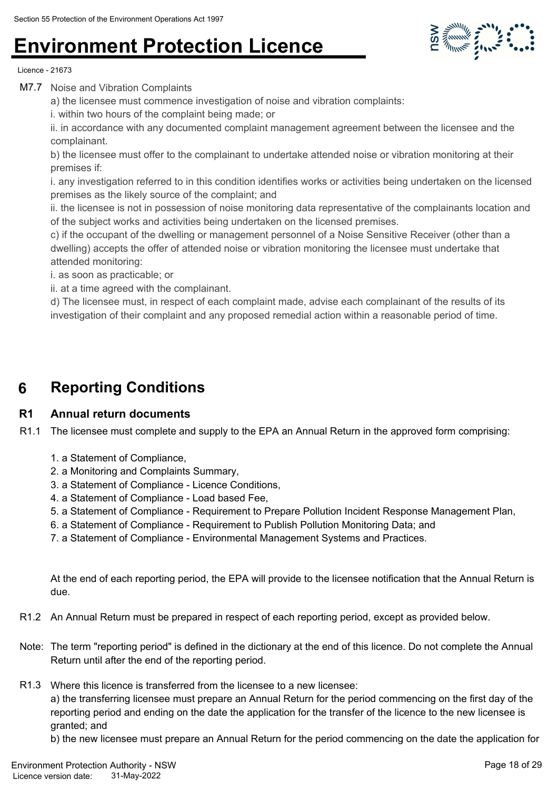

Licence - 21673

M7.7 Noise and Vibration Complaints

a) the licensee must commence investigation of noise and vibration complaints:

i. within two hours of the complaint being made; or

ii. in accordance with any documented complaint management agreement between the licensee and the complainant.

b) the licensee must offer to the complainant to undertake attended noise or vibration monitoring at their premises if:

i. any investigation referred to in this condition identifies works or activities being undertaken on the licensed premises as the likely source of the complaint; and

ii. the licensee is not in possession of noise monitoring data representative of the complainants location and of the subject works and activities being undertaken on the licensed premises.

c) if the occupant of the dwelling or management personnel of a Noise Sensitive Receiver (other than a dwelling) accepts the offer of attended noise or vibration monitoring the licensee must undertake that attended monitoring:

i. as soon as practicable; or

ii. at a time agreed with the complainant.

d) The licensee must, in respect of each complaint made, advise each complainant of the results of its investigation of their complaint and any proposed remedial action within a reasonable period of time.

### **6 Reporting Conditions**

### **R1 Annual return documents**

R1.1 The licensee must complete and supply to the EPA an Annual Return in the approved form comprising:

- 1. a Statement of Compliance,
- 2. a Monitoring and Complaints Summary,
- 3. a Statement of Compliance Licence Conditions,
- 4. a Statement of Compliance Load based Fee,
- 5. a Statement of Compliance Requirement to Prepare Pollution Incident Response Management Plan,
- 6. a Statement of Compliance Requirement to Publish Pollution Monitoring Data; and
- 7. a Statement of Compliance Environmental Management Systems and Practices.

At the end of each reporting period, the EPA will provide to the licensee notification that the Annual Return is due.

- R1.2 An Annual Return must be prepared in respect of each reporting period, except as provided below.
- Note: The term "reporting period" is defined in the dictionary at the end of this licence. Do not complete the Annual Return until after the end of the reporting period.
- R1.3 Where this licence is transferred from the licensee to a new licensee:

a) the transferring licensee must prepare an Annual Return for the period commencing on the first day of the reporting period and ending on the date the application for the transfer of the licence to the new licensee is granted; and

b) the new licensee must prepare an Annual Return for the period commencing on the date the application for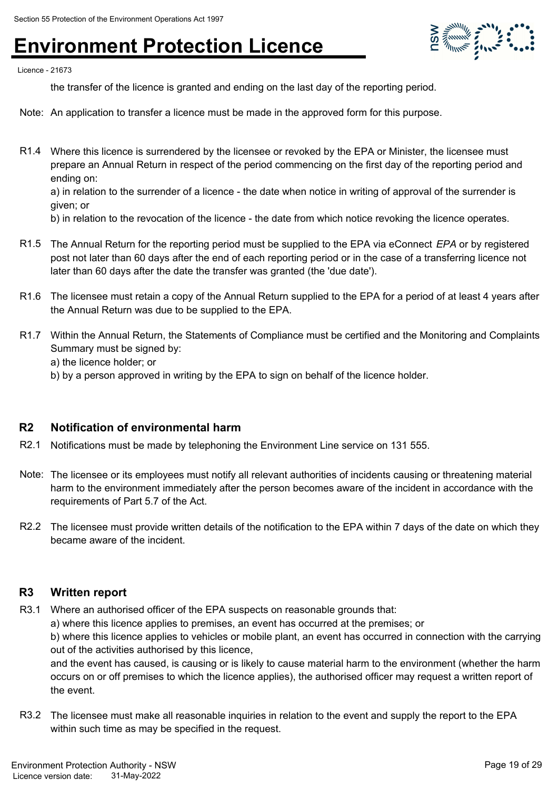

Licence - 21673

the transfer of the licence is granted and ending on the last day of the reporting period.

- Note: An application to transfer a licence must be made in the approved form for this purpose.
- R1.4 Where this licence is surrendered by the licensee or revoked by the EPA or Minister, the licensee must prepare an Annual Return in respect of the period commencing on the first day of the reporting period and ending on:

a) in relation to the surrender of a licence - the date when notice in writing of approval of the surrender is given; or

b) in relation to the revocation of the licence - the date from which notice revoking the licence operates.

- R1.5 The Annual Return for the reporting period must be supplied to the EPA via eConnect *EPA* or by registered post not later than 60 days after the end of each reporting period or in the case of a transferring licence not later than 60 days after the date the transfer was granted (the 'due date').
- R1.6 The licensee must retain a copy of the Annual Return supplied to the EPA for a period of at least 4 years after the Annual Return was due to be supplied to the EPA.
- R1.7 Within the Annual Return, the Statements of Compliance must be certified and the Monitoring and Complaints Summary must be signed by:
	- a) the licence holder; or
	- b) by a person approved in writing by the EPA to sign on behalf of the licence holder.

#### **R2 Notification of environmental harm**

- R2.1 Notifications must be made by telephoning the Environment Line service on 131 555.
- Note: The licensee or its employees must notify all relevant authorities of incidents causing or threatening material harm to the environment immediately after the person becomes aware of the incident in accordance with the requirements of Part 5.7 of the Act.
- R2.2 The licensee must provide written details of the notification to the EPA within 7 days of the date on which they became aware of the incident.

#### **R3 Written report**

R3.1 Where an authorised officer of the EPA suspects on reasonable grounds that:

a) where this licence applies to premises, an event has occurred at the premises; or

b) where this licence applies to vehicles or mobile plant, an event has occurred in connection with the carrying out of the activities authorised by this licence,

and the event has caused, is causing or is likely to cause material harm to the environment (whether the harm occurs on or off premises to which the licence applies), the authorised officer may request a written report of the event.

R3.2 The licensee must make all reasonable inquiries in relation to the event and supply the report to the EPA within such time as may be specified in the request.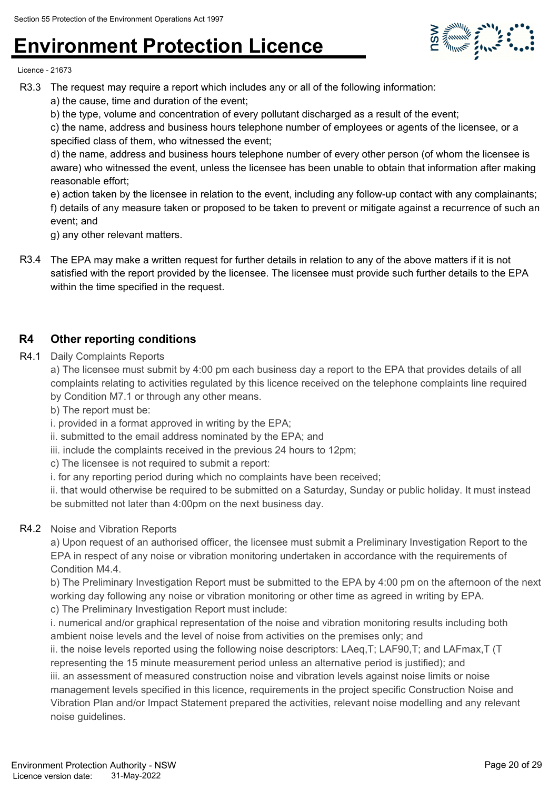

Licence - 21673

- R3.3 The request may require a report which includes any or all of the following information:
	- a) the cause, time and duration of the event;
	- b) the type, volume and concentration of every pollutant discharged as a result of the event;

c) the name, address and business hours telephone number of employees or agents of the licensee, or a specified class of them, who witnessed the event;

d) the name, address and business hours telephone number of every other person (of whom the licensee is aware) who witnessed the event, unless the licensee has been unable to obtain that information after making reasonable effort;

e) action taken by the licensee in relation to the event, including any follow-up contact with any complainants; f) details of any measure taken or proposed to be taken to prevent or mitigate against a recurrence of such an event; and

g) any other relevant matters.

R3.4 The EPA may make a written request for further details in relation to any of the above matters if it is not satisfied with the report provided by the licensee. The licensee must provide such further details to the EPA within the time specified in the request.

### **R4 Other reporting conditions**

R4.1 Daily Complaints Reports

a) The licensee must submit by 4:00 pm each business day a report to the EPA that provides details of all complaints relating to activities regulated by this licence received on the telephone complaints line required by Condition M7.1 or through any other means.

b) The report must be:

i. provided in a format approved in writing by the EPA;

ii. submitted to the email address nominated by the EPA; and

- iii. include the complaints received in the previous 24 hours to 12pm;
- c) The licensee is not required to submit a report:

i. for any reporting period during which no complaints have been received;

ii. that would otherwise be required to be submitted on a Saturday, Sunday or public holiday. It must instead be submitted not later than 4:00pm on the next business day.

### R4.2 Noise and Vibration Reports

a) Upon request of an authorised officer, the licensee must submit a Preliminary Investigation Report to the EPA in respect of any noise or vibration monitoring undertaken in accordance with the requirements of Condition M4.4.

b) The Preliminary Investigation Report must be submitted to the EPA by 4:00 pm on the afternoon of the next working day following any noise or vibration monitoring or other time as agreed in writing by EPA. c) The Preliminary Investigation Report must include:

i. numerical and/or graphical representation of the noise and vibration monitoring results including both ambient noise levels and the level of noise from activities on the premises only; and

ii. the noise levels reported using the following noise descriptors: LAeq,T; LAF90,T; and LAFmax,T (T representing the 15 minute measurement period unless an alternative period is justified); and

iii. an assessment of measured construction noise and vibration levels against noise limits or noise management levels specified in this licence, requirements in the project specific Construction Noise and Vibration Plan and/or Impact Statement prepared the activities, relevant noise modelling and any relevant noise guidelines.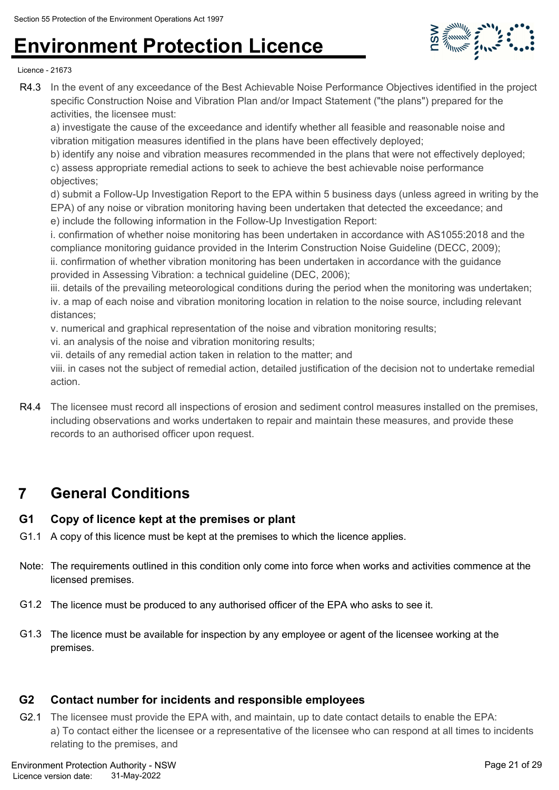

Licence - 21673

R4.3 In the event of any exceedance of the Best Achievable Noise Performance Objectives identified in the project specific Construction Noise and Vibration Plan and/or Impact Statement ("the plans") prepared for the activities, the licensee must:

a) investigate the cause of the exceedance and identify whether all feasible and reasonable noise and vibration mitigation measures identified in the plans have been effectively deployed;

b) identify any noise and vibration measures recommended in the plans that were not effectively deployed; c) assess appropriate remedial actions to seek to achieve the best achievable noise performance objectives;

d) submit a Follow-Up Investigation Report to the EPA within 5 business days (unless agreed in writing by the EPA) of any noise or vibration monitoring having been undertaken that detected the exceedance; and e) include the following information in the Follow-Up Investigation Report:

i. confirmation of whether noise monitoring has been undertaken in accordance with AS1055:2018 and the compliance monitoring guidance provided in the Interim Construction Noise Guideline (DECC, 2009); ii. confirmation of whether vibration monitoring has been undertaken in accordance with the guidance provided in Assessing Vibration: a technical guideline (DEC, 2006);

iii. details of the prevailing meteorological conditions during the period when the monitoring was undertaken; iv. a map of each noise and vibration monitoring location in relation to the noise source, including relevant distances;

v. numerical and graphical representation of the noise and vibration monitoring results;

vi. an analysis of the noise and vibration monitoring results;

vii. details of any remedial action taken in relation to the matter; and

viii. in cases not the subject of remedial action, detailed justification of the decision not to undertake remedial action.

R4.4 The licensee must record all inspections of erosion and sediment control measures installed on the premises, including observations and works undertaken to repair and maintain these measures, and provide these records to an authorised officer upon request.

### **7 General Conditions**

### **G1 Copy of licence kept at the premises or plant**

- G1.1 A copy of this licence must be kept at the premises to which the licence applies.
- Note: The requirements outlined in this condition only come into force when works and activities commence at the licensed premises.
- G1.2 The licence must be produced to any authorised officer of the EPA who asks to see it.
- G1.3 The licence must be available for inspection by any employee or agent of the licensee working at the premises.

### **G2 Contact number for incidents and responsible employees**

G2.1 The licensee must provide the EPA with, and maintain, up to date contact details to enable the EPA: a) To contact either the licensee or a representative of the licensee who can respond at all times to incidents relating to the premises, and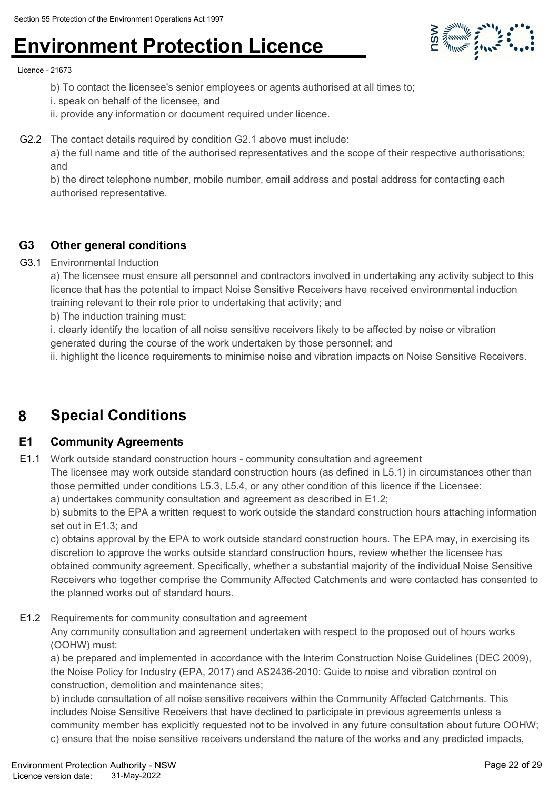

Licence - 21673

- b) To contact the licensee's senior employees or agents authorised at all times to;
- i. speak on behalf of the licensee, and
- ii. provide any information or document required under licence.
- G2.2 The contact details required by condition G2.1 above must include:

a) the full name and title of the authorised representatives and the scope of their respective authorisations; and

b) the direct telephone number, mobile number, email address and postal address for contacting each authorised representative.

### **G3 Other general conditions**

### G3.1 Environmental Induction

a) The licensee must ensure all personnel and contractors involved in undertaking any activity subject to this licence that has the potential to impact Noise Sensitive Receivers have received environmental induction training relevant to their role prior to undertaking that activity; and

b) The induction training must:

i. clearly identify the location of all noise sensitive receivers likely to be affected by noise or vibration generated during the course of the work undertaken by those personnel; and

ii. highlight the licence requirements to minimise noise and vibration impacts on Noise Sensitive Receivers.

### **8 Special Conditions**

### **E1 Community Agreements**

E1.1 Work outside standard construction hours - community consultation and agreement

The licensee may work outside standard construction hours (as defined in L5.1) in circumstances other than those permitted under conditions L5.3, L5.4, or any other condition of this licence if the Licensee:

a) undertakes community consultation and agreement as described in E1.2;

b) submits to the EPA a written request to work outside the standard construction hours attaching information set out in E1.3; and

c) obtains approval by the EPA to work outside standard construction hours. The EPA may, in exercising its discretion to approve the works outside standard construction hours, review whether the licensee has obtained community agreement. Specifically, whether a substantial majority of the individual Noise Sensitive Receivers who together comprise the Community Affected Catchments and were contacted has consented to the planned works out of standard hours.

E1.2 Requirements for community consultation and agreement

Any community consultation and agreement undertaken with respect to the proposed out of hours works (OOHW) must:

a) be prepared and implemented in accordance with the Interim Construction Noise Guidelines (DEC 2009), the Noise Policy for Industry (EPA, 2017) and AS2436-2010: Guide to noise and vibration control on construction, demolition and maintenance sites;

b) include consultation of all noise sensitive receivers within the Community Affected Catchments. This includes Noise Sensitive Receivers that have declined to participate in previous agreements unless a community member has explicitly requested not to be involved in any future consultation about future OOHW; c) ensure that the noise sensitive receivers understand the nature of the works and any predicted impacts,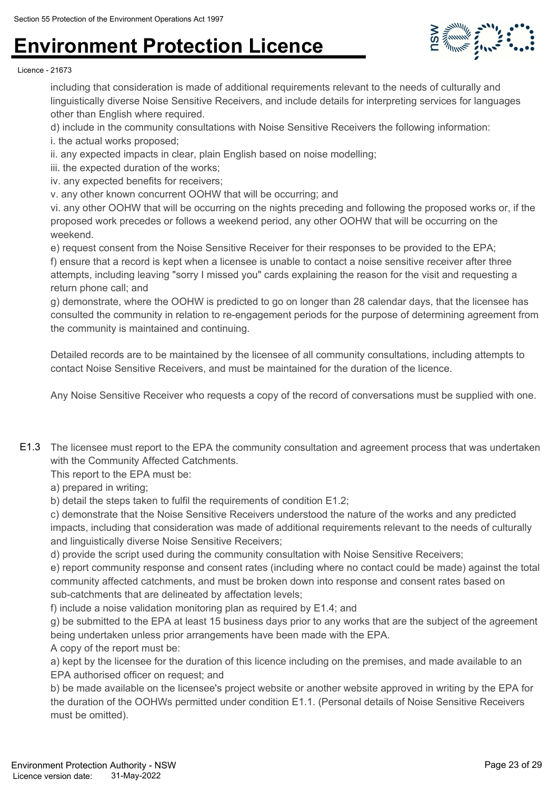

#### Licence - 21673

including that consideration is made of additional requirements relevant to the needs of culturally and linguistically diverse Noise Sensitive Receivers, and include details for interpreting services for languages other than English where required.

d) include in the community consultations with Noise Sensitive Receivers the following information:

- i. the actual works proposed;
- ii. any expected impacts in clear, plain English based on noise modelling;
- iii. the expected duration of the works;
- iv. any expected benefits for receivers;
- v. any other known concurrent OOHW that will be occurring; and

vi. any other OOHW that will be occurring on the nights preceding and following the proposed works or, if the proposed work precedes or follows a weekend period, any other OOHW that will be occurring on the weekend.

e) request consent from the Noise Sensitive Receiver for their responses to be provided to the EPA; f) ensure that a record is kept when a licensee is unable to contact a noise sensitive receiver after three attempts, including leaving "sorry I missed you" cards explaining the reason for the visit and requesting a return phone call; and

g) demonstrate, where the OOHW is predicted to go on longer than 28 calendar days, that the licensee has consulted the community in relation to re-engagement periods for the purpose of determining agreement from the community is maintained and continuing.

Detailed records are to be maintained by the licensee of all community consultations, including attempts to contact Noise Sensitive Receivers, and must be maintained for the duration of the licence.

Any Noise Sensitive Receiver who requests a copy of the record of conversations must be supplied with one.

E1.3 The licensee must report to the EPA the community consultation and agreement process that was undertaken with the Community Affected Catchments.

This report to the EPA must be:

a) prepared in writing;

b) detail the steps taken to fulfil the requirements of condition E1.2;

c) demonstrate that the Noise Sensitive Receivers understood the nature of the works and any predicted impacts, including that consideration was made of additional requirements relevant to the needs of culturally and linguistically diverse Noise Sensitive Receivers;

d) provide the script used during the community consultation with Noise Sensitive Receivers;

e) report community response and consent rates (including where no contact could be made) against the total community affected catchments, and must be broken down into response and consent rates based on sub-catchments that are delineated by affectation levels;

f) include a noise validation monitoring plan as required by E1.4; and

g) be submitted to the EPA at least 15 business days prior to any works that are the subject of the agreement being undertaken unless prior arrangements have been made with the EPA.

A copy of the report must be:

a) kept by the licensee for the duration of this licence including on the premises, and made available to an EPA authorised officer on request; and

b) be made available on the licensee's project website or another website approved in writing by the EPA for the duration of the OOHWs permitted under condition E1.1. (Personal details of Noise Sensitive Receivers must be omitted).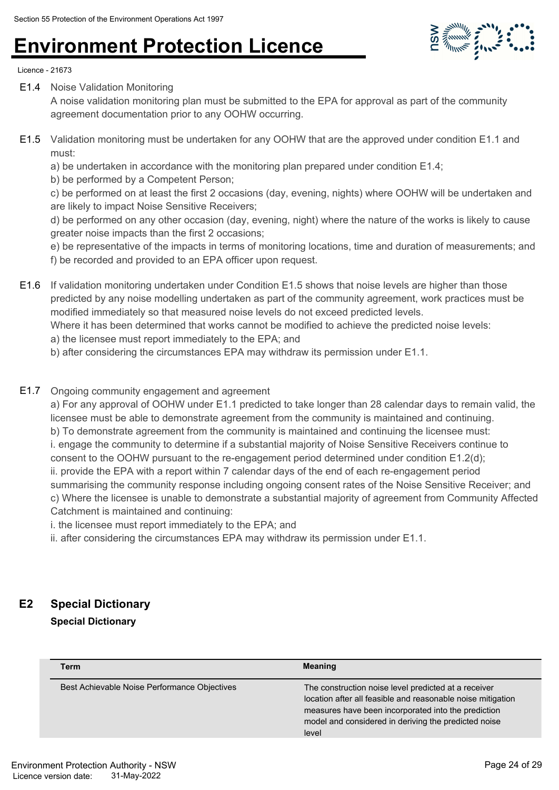

Licence - 21673

E1.4 Noise Validation Monitoring

A noise validation monitoring plan must be submitted to the EPA for approval as part of the community agreement documentation prior to any OOHW occurring.

E1.5 Validation monitoring must be undertaken for any OOHW that are the approved under condition E1.1 and must:

a) be undertaken in accordance with the monitoring plan prepared under condition E1.4;

b) be performed by a Competent Person;

c) be performed on at least the first 2 occasions (day, evening, nights) where OOHW will be undertaken and are likely to impact Noise Sensitive Receivers;

d) be performed on any other occasion (day, evening, night) where the nature of the works is likely to cause greater noise impacts than the first 2 occasions;

e) be representative of the impacts in terms of monitoring locations, time and duration of measurements; and f) be recorded and provided to an EPA officer upon request.

E1.6 If validation monitoring undertaken under Condition E1.5 shows that noise levels are higher than those predicted by any noise modelling undertaken as part of the community agreement, work practices must be modified immediately so that measured noise levels do not exceed predicted levels.

Where it has been determined that works cannot be modified to achieve the predicted noise levels:

- a) the licensee must report immediately to the EPA; and
- b) after considering the circumstances EPA may withdraw its permission under E1.1.

#### E1.7 Ongoing community engagement and agreement

a) For any approval of OOHW under E1.1 predicted to take longer than 28 calendar days to remain valid, the licensee must be able to demonstrate agreement from the community is maintained and continuing. b) To demonstrate agreement from the community is maintained and continuing the licensee must: i. engage the community to determine if a substantial majority of Noise Sensitive Receivers continue to consent to the OOHW pursuant to the re-engagement period determined under condition E1.2(d); ii. provide the EPA with a report within 7 calendar days of the end of each re-engagement period summarising the community response including ongoing consent rates of the Noise Sensitive Receiver; and c) Where the licensee is unable to demonstrate a substantial majority of agreement from Community Affected Catchment is maintained and continuing:

i. the licensee must report immediately to the EPA; and

ii. after considering the circumstances EPA may withdraw its permission under E1.1.

### **E2 Special Dictionary**

**Special Dictionary**

| <b>Term</b>                                  | <b>Meaning</b>                                                                                                                                                                                                                              |
|----------------------------------------------|---------------------------------------------------------------------------------------------------------------------------------------------------------------------------------------------------------------------------------------------|
| Best Achievable Noise Performance Objectives | The construction noise level predicted at a receiver<br>location after all feasible and reasonable noise mitigation<br>measures have been incorporated into the prediction<br>model and considered in deriving the predicted noise<br>level |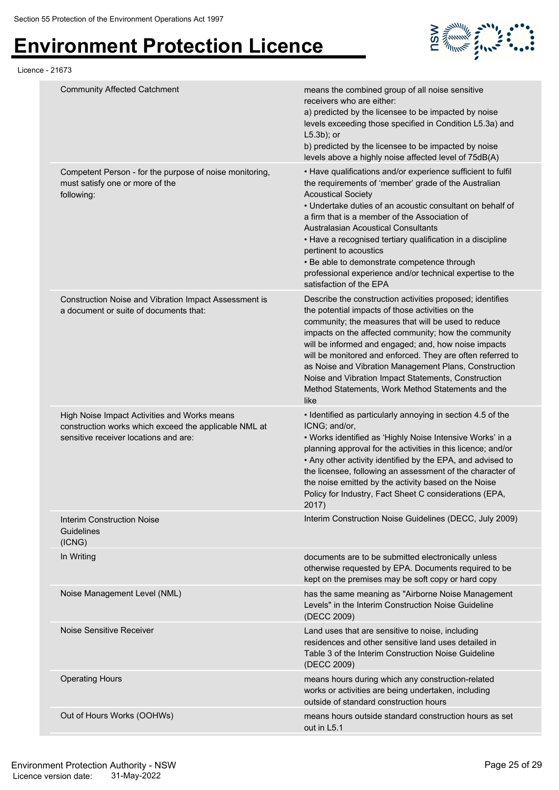

| Licence - 21673 |                                                                                                                                                |                                                                                                                                                                                                                                                                                                                                                                                                                                                                                                                                              |
|-----------------|------------------------------------------------------------------------------------------------------------------------------------------------|----------------------------------------------------------------------------------------------------------------------------------------------------------------------------------------------------------------------------------------------------------------------------------------------------------------------------------------------------------------------------------------------------------------------------------------------------------------------------------------------------------------------------------------------|
|                 | <b>Community Affected Catchment</b>                                                                                                            | means the combined group of all noise sensitive<br>receivers who are either:<br>a) predicted by the licensee to be impacted by noise<br>levels exceeding those specified in Condition L5.3a) and<br>$L5.3b$ ); or<br>b) predicted by the licensee to be impacted by noise<br>levels above a highly noise affected level of 75dB(A)                                                                                                                                                                                                           |
|                 | Competent Person - for the purpose of noise monitoring,<br>must satisfy one or more of the<br>following:                                       | • Have qualifications and/or experience sufficient to fulfil<br>the requirements of 'member' grade of the Australian<br><b>Acoustical Society</b><br>• Undertake duties of an acoustic consultant on behalf of<br>a firm that is a member of the Association of<br><b>Australasian Acoustical Consultants</b><br>• Have a recognised tertiary qualification in a discipline<br>pertinent to acoustics<br>• Be able to demonstrate competence through<br>professional experience and/or technical expertise to the<br>satisfaction of the EPA |
|                 | Construction Noise and Vibration Impact Assessment is<br>a document or suite of documents that:                                                | Describe the construction activities proposed; identifies<br>the potential impacts of those activities on the<br>community; the measures that will be used to reduce<br>impacts on the affected community; how the community<br>will be informed and engaged; and, how noise impacts<br>will be monitored and enforced. They are often referred to<br>as Noise and Vibration Management Plans, Construction<br>Noise and Vibration Impact Statements, Construction<br>Method Statements, Work Method Statements and the<br>like              |
|                 | High Noise Impact Activities and Works means<br>construction works which exceed the applicable NML at<br>sensitive receiver locations and are: | • Identified as particularly annoying in section 4.5 of the<br>ICNG; and/or,<br>• Works identified as 'Highly Noise Intensive Works' in a<br>planning approval for the activities in this licence; and/or<br>• Any other activity identified by the EPA, and advised to<br>the licensee, following an assessment of the character of<br>the noise emitted by the activity based on the Noise<br>Policy for Industry, Fact Sheet C considerations (EPA,<br>2017)                                                                              |
|                 | <b>Interim Construction Noise</b><br>Guidelines<br>(ICNG)                                                                                      | Interim Construction Noise Guidelines (DECC, July 2009)                                                                                                                                                                                                                                                                                                                                                                                                                                                                                      |
|                 | In Writing                                                                                                                                     | documents are to be submitted electronically unless<br>otherwise requested by EPA. Documents required to be<br>kept on the premises may be soft copy or hard copy                                                                                                                                                                                                                                                                                                                                                                            |
|                 | Noise Management Level (NML)                                                                                                                   | has the same meaning as "Airborne Noise Management<br>Levels" in the Interim Construction Noise Guideline<br>(DECC 2009)                                                                                                                                                                                                                                                                                                                                                                                                                     |
|                 | Noise Sensitive Receiver                                                                                                                       | Land uses that are sensitive to noise, including<br>residences and other sensitive land uses detailed in<br>Table 3 of the Interim Construction Noise Guideline<br>(DECC 2009)                                                                                                                                                                                                                                                                                                                                                               |
|                 | <b>Operating Hours</b>                                                                                                                         | means hours during which any construction-related<br>works or activities are being undertaken, including<br>outside of standard construction hours                                                                                                                                                                                                                                                                                                                                                                                           |
|                 | Out of Hours Works (OOHWs)                                                                                                                     | means hours outside standard construction hours as set<br>out in L5.1                                                                                                                                                                                                                                                                                                                                                                                                                                                                        |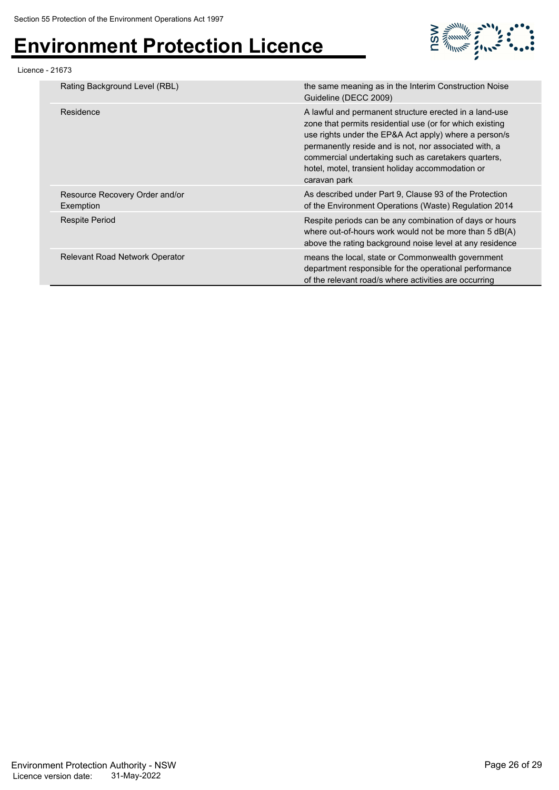

#### Licence - 21673

| Rating Background Level (RBL)               | the same meaning as in the Interim Construction Noise<br>Guideline (DECC 2009)                                                                                                                                                                                                                                                                                  |
|---------------------------------------------|-----------------------------------------------------------------------------------------------------------------------------------------------------------------------------------------------------------------------------------------------------------------------------------------------------------------------------------------------------------------|
| Residence                                   | A lawful and permanent structure erected in a land-use<br>zone that permits residential use (or for which existing<br>use rights under the EP&A Act apply) where a person/s<br>permanently reside and is not, nor associated with, a<br>commercial undertaking such as caretakers quarters,<br>hotel, motel, transient holiday accommodation or<br>caravan park |
| Resource Recovery Order and/or<br>Exemption | As described under Part 9, Clause 93 of the Protection<br>of the Environment Operations (Waste) Regulation 2014                                                                                                                                                                                                                                                 |
| Respite Period                              | Respite periods can be any combination of days or hours<br>where out-of-hours work would not be more than 5 dB(A)<br>above the rating background noise level at any residence                                                                                                                                                                                   |
| <b>Relevant Road Network Operator</b>       | means the local, state or Commonwealth government<br>department responsible for the operational performance<br>of the relevant road/s where activities are occurring                                                                                                                                                                                            |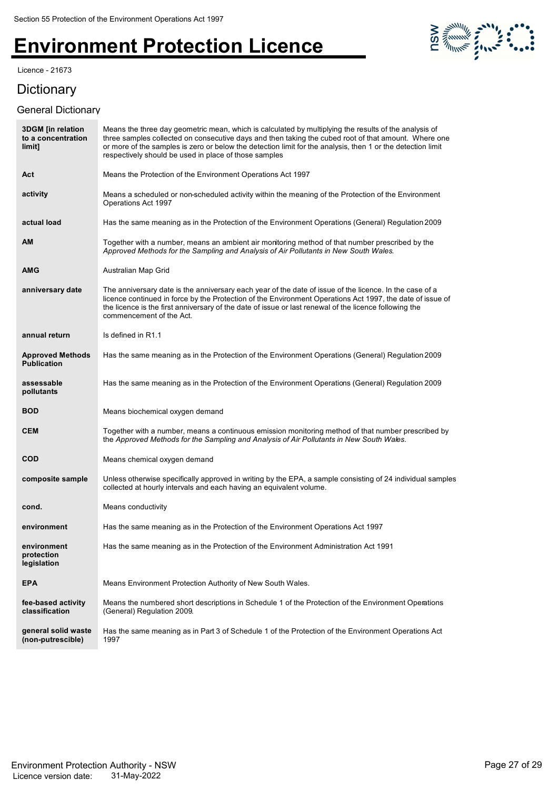#### Licence - 21673

**Dictionary** 

#### General Dictionary



| <b>3DGM</b> [in relation<br>to a concentration<br>limit] | Means the three day geometric mean, which is calculated by multiplying the results of the analysis of<br>three samples collected on consecutive days and then taking the cubed root of that amount. Where one<br>or more of the samples is zero or below the detection limit for the analysis, then 1 or the detection limit<br>respectively should be used in place of those samples |
|----------------------------------------------------------|---------------------------------------------------------------------------------------------------------------------------------------------------------------------------------------------------------------------------------------------------------------------------------------------------------------------------------------------------------------------------------------|
| Act                                                      | Means the Protection of the Environment Operations Act 1997                                                                                                                                                                                                                                                                                                                           |
| activity                                                 | Means a scheduled or non-scheduled activity within the meaning of the Protection of the Environment<br>Operations Act 1997                                                                                                                                                                                                                                                            |
| actual load                                              | Has the same meaning as in the Protection of the Environment Operations (General) Regulation 2009                                                                                                                                                                                                                                                                                     |
| AМ                                                       | Together with a number, means an ambient air monitoring method of that number prescribed by the<br>Approved Methods for the Sampling and Analysis of Air Pollutants in New South Wales.                                                                                                                                                                                               |
| AMG                                                      | Australian Map Grid                                                                                                                                                                                                                                                                                                                                                                   |
| anniversary date                                         | The anniversary date is the anniversary each year of the date of issue of the licence. In the case of a<br>licence continued in force by the Protection of the Environment Operations Act 1997, the date of issue of<br>the licence is the first anniversary of the date of issue or last renewal of the licence following the<br>commencement of the Act.                            |
| annual return                                            | Is defined in R1.1                                                                                                                                                                                                                                                                                                                                                                    |
| <b>Approved Methods</b><br><b>Publication</b>            | Has the same meaning as in the Protection of the Environment Operations (General) Regulation 2009                                                                                                                                                                                                                                                                                     |
| assessable<br>pollutants                                 | Has the same meaning as in the Protection of the Environment Operations (General) Regulation 2009                                                                                                                                                                                                                                                                                     |
| <b>BOD</b>                                               | Means biochemical oxygen demand                                                                                                                                                                                                                                                                                                                                                       |
| <b>CEM</b>                                               | Together with a number, means a continuous emission monitoring method of that number prescribed by<br>the Approved Methods for the Sampling and Analysis of Air Pollutants in New South Wales.                                                                                                                                                                                        |
| COD                                                      | Means chemical oxygen demand                                                                                                                                                                                                                                                                                                                                                          |
| composite sample                                         | Unless otherwise specifically approved in writing by the EPA, a sample consisting of 24 individual samples<br>collected at hourly intervals and each having an equivalent volume.                                                                                                                                                                                                     |
| cond.                                                    | Means conductivity                                                                                                                                                                                                                                                                                                                                                                    |
| environment                                              | Has the same meaning as in the Protection of the Environment Operations Act 1997                                                                                                                                                                                                                                                                                                      |
| environment<br>protection<br>legislation                 | Has the same meaning as in the Protection of the Environment Administration Act 1991                                                                                                                                                                                                                                                                                                  |
| <b>EPA</b>                                               | Means Environment Protection Authority of New South Wales.                                                                                                                                                                                                                                                                                                                            |
| fee-based activity<br>classification                     | Means the numbered short descriptions in Schedule 1 of the Protection of the Environment Operations<br>(General) Regulation 2009.                                                                                                                                                                                                                                                     |
| general solid waste<br>(non-putrescible)                 | Has the same meaning as in Part 3 of Schedule 1 of the Protection of the Environment Operations Act<br>1997                                                                                                                                                                                                                                                                           |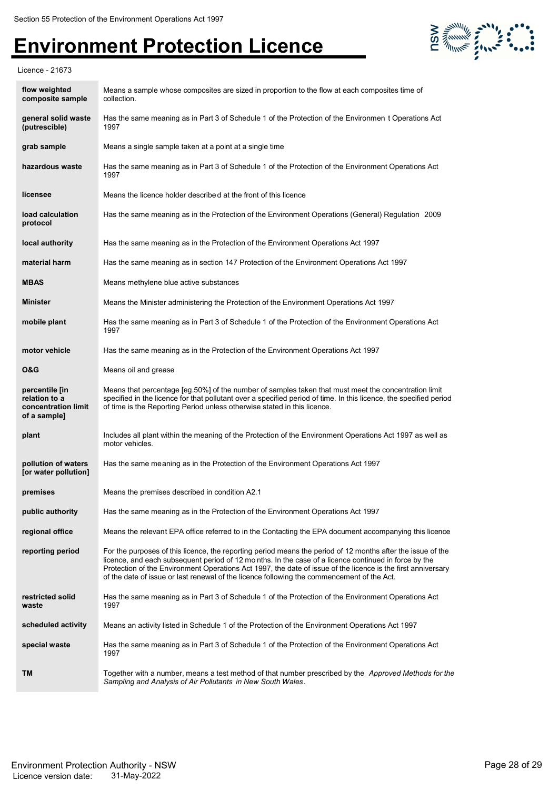

Licence - 21673

| flow weighted<br>composite sample                                      | Means a sample whose composites are sized in proportion to the flow at each composites time of<br>collection.                                                                                                                                                                                                                                                                                                                     |
|------------------------------------------------------------------------|-----------------------------------------------------------------------------------------------------------------------------------------------------------------------------------------------------------------------------------------------------------------------------------------------------------------------------------------------------------------------------------------------------------------------------------|
| general solid waste<br>(putrescible)                                   | Has the same meaning as in Part 3 of Schedule 1 of the Protection of the Environmen t Operations Act<br>1997                                                                                                                                                                                                                                                                                                                      |
| grab sample                                                            | Means a single sample taken at a point at a single time                                                                                                                                                                                                                                                                                                                                                                           |
| hazardous waste                                                        | Has the same meaning as in Part 3 of Schedule 1 of the Protection of the Environment Operations Act<br>1997                                                                                                                                                                                                                                                                                                                       |
| licensee                                                               | Means the licence holder described at the front of this licence                                                                                                                                                                                                                                                                                                                                                                   |
| load calculation<br>protocol                                           | Has the same meaning as in the Protection of the Environment Operations (General) Regulation 2009                                                                                                                                                                                                                                                                                                                                 |
| local authority                                                        | Has the same meaning as in the Protection of the Environment Operations Act 1997                                                                                                                                                                                                                                                                                                                                                  |
| material harm                                                          | Has the same meaning as in section 147 Protection of the Environment Operations Act 1997                                                                                                                                                                                                                                                                                                                                          |
| <b>MBAS</b>                                                            | Means methylene blue active substances                                                                                                                                                                                                                                                                                                                                                                                            |
| <b>Minister</b>                                                        | Means the Minister administering the Protection of the Environment Operations Act 1997                                                                                                                                                                                                                                                                                                                                            |
| mobile plant                                                           | Has the same meaning as in Part 3 of Schedule 1 of the Protection of the Environment Operations Act<br>1997                                                                                                                                                                                                                                                                                                                       |
| motor vehicle                                                          | Has the same meaning as in the Protection of the Environment Operations Act 1997                                                                                                                                                                                                                                                                                                                                                  |
| <b>O&amp;G</b>                                                         | Means oil and grease                                                                                                                                                                                                                                                                                                                                                                                                              |
| percentile [in<br>relation to a<br>concentration limit<br>of a sample] | Means that percentage [eg.50%] of the number of samples taken that must meet the concentration limit<br>specified in the licence for that pollutant over a specified period of time. In this licence, the specified period<br>of time is the Reporting Period unless otherwise stated in this licence.                                                                                                                            |
| plant                                                                  | Includes all plant within the meaning of the Protection of the Environment Operations Act 1997 as well as<br>motor vehicles.                                                                                                                                                                                                                                                                                                      |
| pollution of waters<br>[or water pollution]                            | Has the same meaning as in the Protection of the Environment Operations Act 1997                                                                                                                                                                                                                                                                                                                                                  |
| premises                                                               | Means the premises described in condition A2.1                                                                                                                                                                                                                                                                                                                                                                                    |
| public authority                                                       | Has the same meaning as in the Protection of the Environment Operations Act 1997                                                                                                                                                                                                                                                                                                                                                  |
| regional office                                                        | Means the relevant EPA office referred to in the Contacting the EPA document accompanying this licence                                                                                                                                                                                                                                                                                                                            |
| reporting period                                                       | For the purposes of this licence, the reporting period means the period of 12 months after the issue of the<br>licence, and each subsequent period of 12 months. In the case of a licence continued in force by the<br>Protection of the Environment Operations Act 1997, the date of issue of the licence is the first anniversary<br>of the date of issue or last renewal of the licence following the commencement of the Act. |
| restricted solid<br>waste                                              | Has the same meaning as in Part 3 of Schedule 1 of the Protection of the Environment Operations Act<br>1997                                                                                                                                                                                                                                                                                                                       |
| scheduled activity                                                     | Means an activity listed in Schedule 1 of the Protection of the Environment Operations Act 1997                                                                                                                                                                                                                                                                                                                                   |
| special waste                                                          | Has the same meaning as in Part 3 of Schedule 1 of the Protection of the Environment Operations Act<br>1997                                                                                                                                                                                                                                                                                                                       |
| TM                                                                     | Together with a number, means a test method of that number prescribed by the <i>Approved Methods for the</i><br>Sampling and Analysis of Air Pollutants in New South Wales.                                                                                                                                                                                                                                                       |